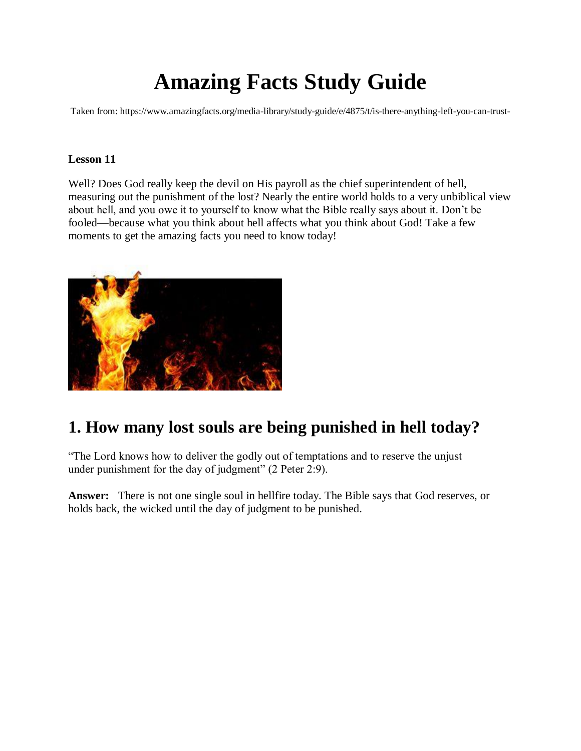# **Amazing Facts Study Guide**

Taken from: https://www.amazingfacts.org/media-library/study-guide/e/4875/t/is-there-anything-left-you-can-trust-

### **Lesson 11**

Well? Does God really keep the devil on His payroll as the chief superintendent of hell, measuring out the punishment of the lost? Nearly the entire world holds to a very unbiblical view about hell, and you owe it to yourself to know what the Bible really says about it. Don't be fooled—because what you think about hell affects what you think about God! Take a few moments to get the amazing facts you need to know today!



# **1. How many lost souls are being punished in hell today?**

"The Lord knows how to deliver the godly out of temptations and to reserve the unjust under punishment for the day of judgment" (2 Peter 2:9).

**Answer:** There is not one single soul in hellfire today. The Bible says that God reserves, or holds back, the wicked until the day of judgment to be punished.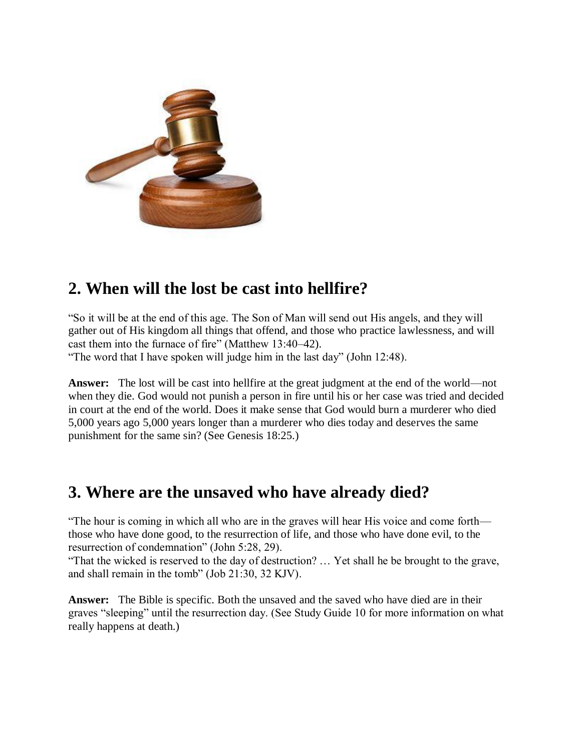

# **2. When will the lost be cast into hellfire?**

"So it will be at the end of this age. The Son of Man will send out His angels, and they will gather out of His kingdom all things that offend, and those who practice lawlessness, and will cast them into the furnace of fire" (Matthew 13:40–42).

"The word that I have spoken will judge him in the last day" (John 12:48).

**Answer:** The lost will be cast into hellfire at the great judgment at the end of the world—not when they die. God would not punish a person in fire until his or her case was tried and decided in court at the end of the world. Does it make sense that God would burn a murderer who died 5,000 years ago 5,000 years longer than a murderer who dies today and deserves the same punishment for the same sin? (See Genesis 18:25.)

## **3. Where are the unsaved who have already died?**

"The hour is coming in which all who are in the graves will hear His voice and come forth those who have done good, to the resurrection of life, and those who have done evil, to the resurrection of condemnation" (John 5:28, 29).

"That the wicked is reserved to the day of destruction? … Yet shall he be brought to the grave, and shall remain in the tomb" (Job 21:30, 32 KJV).

**Answer:** The Bible is specific. Both the unsaved and the saved who have died are in their graves "sleeping" until the resurrection day. (See Study Guide 10 for more information on what really happens at death.)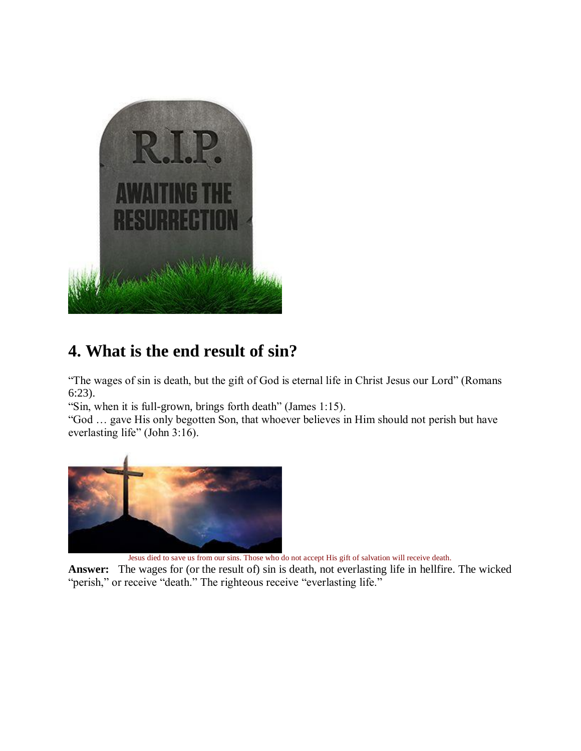

# **4. What is the end result of sin?**

"The wages of sin is death, but the gift of God is eternal life in Christ Jesus our Lord" (Romans 6:23).

"Sin, when it is full-grown, brings forth death" (James 1:15).

"God … gave His only begotten Son, that whoever believes in Him should not perish but have everlasting life" (John 3:16).



Jesus died to save us from our sins. Those who do not accept His gift of salvation will receive death.

**Answer:** The wages for (or the result of) sin is death, not everlasting life in hellfire. The wicked "perish," or receive "death." The righteous receive "everlasting life."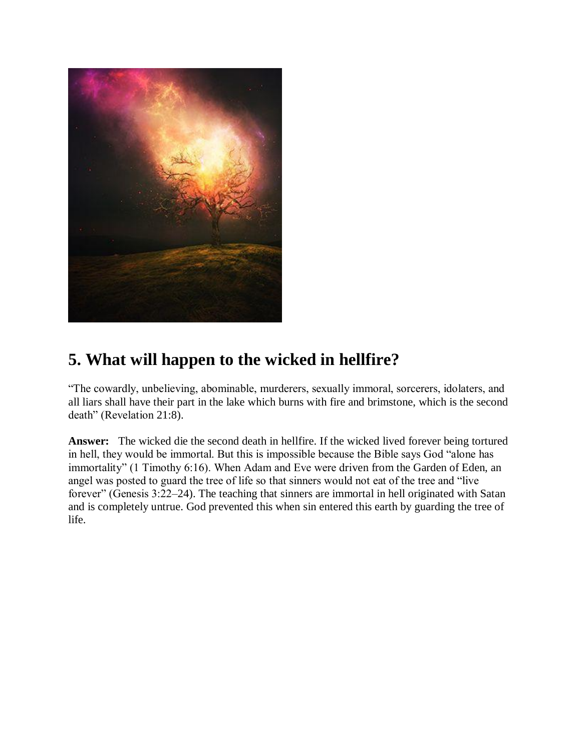

# **5. What will happen to the wicked in hellfire?**

"The cowardly, unbelieving, abominable, murderers, sexually immoral, sorcerers, idolaters, and all liars shall have their part in the lake which burns with fire and brimstone, which is the second death" (Revelation 21:8).

**Answer:** The wicked die the second death in hellfire. If the wicked lived forever being tortured in hell, they would be immortal. But this is impossible because the Bible says God "alone has immortality" (1 Timothy 6:16). When Adam and Eve were driven from the Garden of Eden, an angel was posted to guard the tree of life so that sinners would not eat of the tree and "live forever" (Genesis 3:22–24). The teaching that sinners are immortal in hell originated with Satan and is completely untrue. God prevented this when sin entered this earth by guarding the tree of life.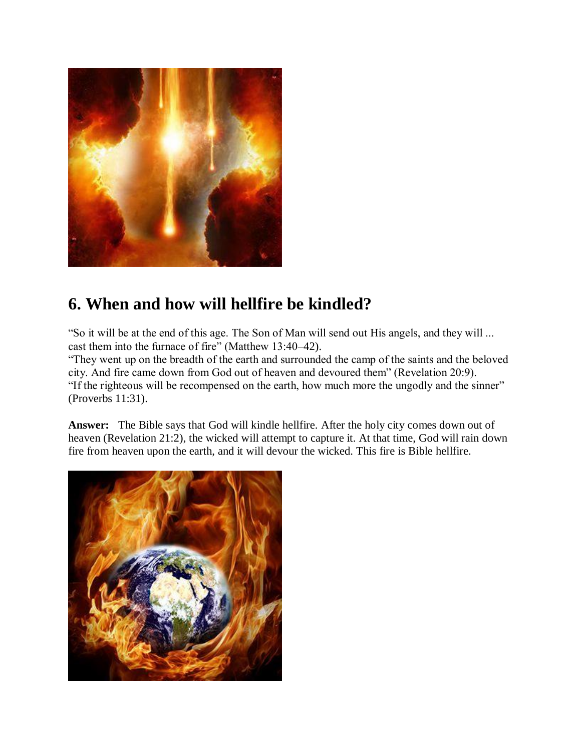

# **6. When and how will hellfire be kindled?**

"So it will be at the end of this age. The Son of Man will send out His angels, and they will ... cast them into the furnace of fire" (Matthew 13:40–42).

"They went up on the breadth of the earth and surrounded the camp of the saints and the beloved city. And fire came down from God out of heaven and devoured them" (Revelation 20:9). "If the righteous will be recompensed on the earth, how much more the ungodly and the sinner" (Proverbs 11:31).

**Answer:** The Bible says that God will kindle hellfire. After the holy city comes down out of heaven (Revelation 21:2), the wicked will attempt to capture it. At that time, God will rain down fire from heaven upon the earth, and it will devour the wicked. This fire is Bible hellfire.

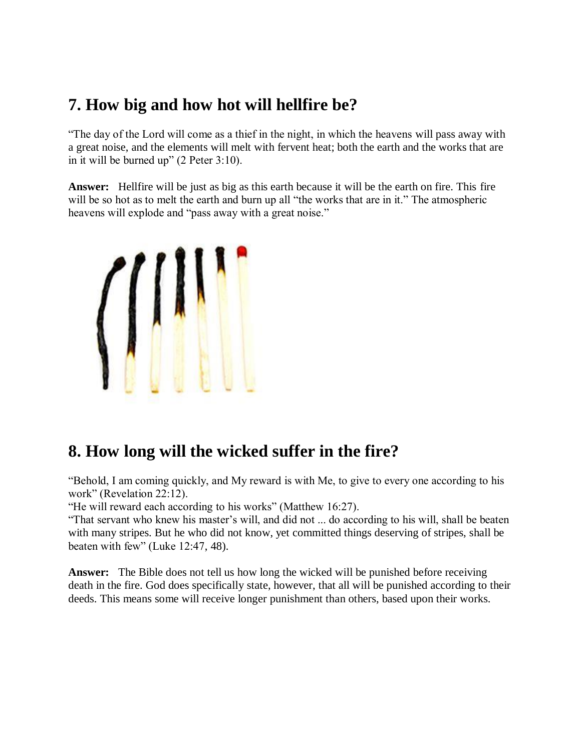# **7. How big and how hot will hellfire be?**

"The day of the Lord will come as a thief in the night, in which the heavens will pass away with a great noise, and the elements will melt with fervent heat; both the earth and the works that are in it will be burned up" (2 Peter 3:10).

**Answer:** Hellfire will be just as big as this earth because it will be the earth on fire. This fire will be so hot as to melt the earth and burn up all "the works that are in it." The atmospheric heavens will explode and "pass away with a great noise."



# **8. How long will the wicked suffer in the fire?**

"Behold, I am coming quickly, and My reward is with Me, to give to every one according to his work" (Revelation 22:12).

"He will reward each according to his works" (Matthew 16:27).

"That servant who knew his master's will, and did not ... do according to his will, shall be beaten with many stripes. But he who did not know, yet committed things deserving of stripes, shall be beaten with few" (Luke 12:47, 48).

**Answer:** The Bible does not tell us how long the wicked will be punished before receiving death in the fire. God does specifically state, however, that all will be punished according to their deeds. This means some will receive longer punishment than others, based upon their works.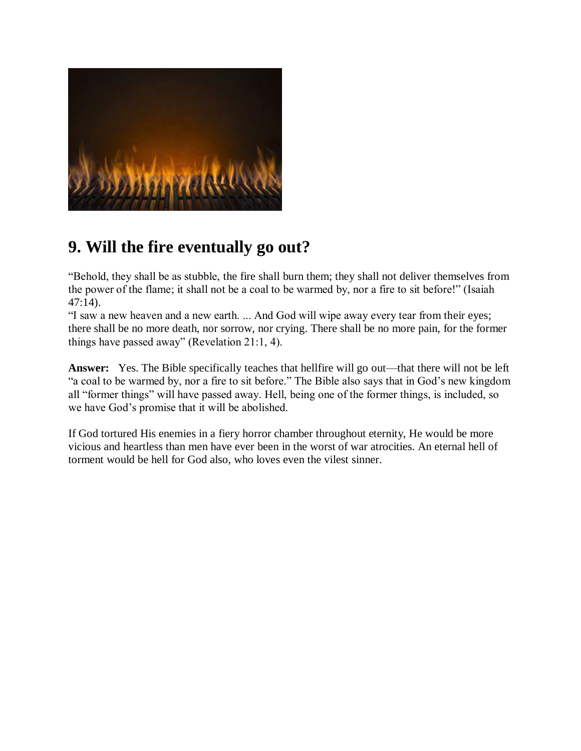

# **9. Will the fire eventually go out?**

"Behold, they shall be as stubble, the fire shall burn them; they shall not deliver themselves from the power of the flame; it shall not be a coal to be warmed by, nor a fire to sit before!" (Isaiah 47:14).

"I saw a new heaven and a new earth. ... And God will wipe away every tear from their eyes; there shall be no more death, nor sorrow, nor crying. There shall be no more pain, for the former things have passed away" (Revelation 21:1, 4).

**Answer:** Yes. The Bible specifically teaches that hellfire will go out—that there will not be left "a coal to be warmed by, nor a fire to sit before." The Bible also says that in God's new kingdom all "former things" will have passed away. Hell, being one of the former things, is included, so we have God's promise that it will be abolished.

If God tortured His enemies in a fiery horror chamber throughout eternity, He would be more vicious and heartless than men have ever been in the worst of war atrocities. An eternal hell of torment would be hell for God also, who loves even the vilest sinner.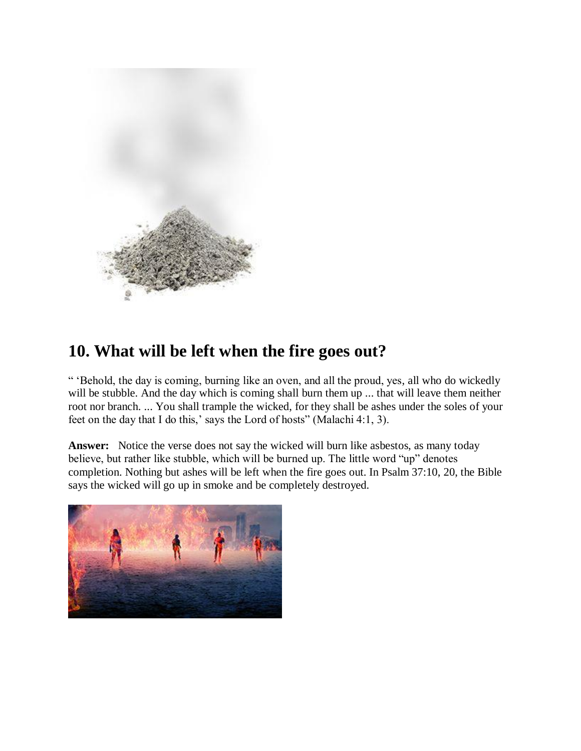

# **10. What will be left when the fire goes out?**

" 'Behold, the day is coming, burning like an oven, and all the proud, yes, all who do wickedly will be stubble. And the day which is coming shall burn them up ... that will leave them neither root nor branch. ... You shall trample the wicked, for they shall be ashes under the soles of your feet on the day that I do this,' says the Lord of hosts" (Malachi 4:1, 3).

**Answer:** Notice the verse does not say the wicked will burn like asbestos, as many today believe, but rather like stubble, which will be burned up. The little word "up" denotes completion. Nothing but ashes will be left when the fire goes out. In Psalm 37:10, 20, the Bible says the wicked will go up in smoke and be completely destroyed.

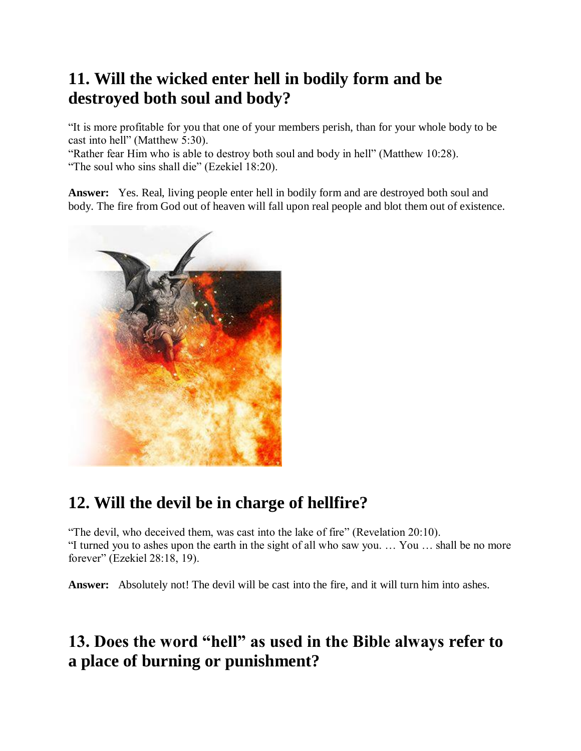# **11. Will the wicked enter hell in bodily form and be destroyed both soul and body?**

"It is more profitable for you that one of your members perish, than for your whole body to be cast into hell" (Matthew 5:30).

"Rather fear Him who is able to destroy both soul and body in hell" (Matthew 10:28). "The soul who sins shall die" (Ezekiel 18:20).

**Answer:** Yes. Real, living people enter hell in bodily form and are destroyed both soul and body. The fire from God out of heaven will fall upon real people and blot them out of existence.



# **12. Will the devil be in charge of hellfire?**

"The devil, who deceived them, was cast into the lake of fire" (Revelation 20:10). "I turned you to ashes upon the earth in the sight of all who saw you. … You … shall be no more forever" (Ezekiel 28:18, 19).

**Answer:** Absolutely not! The devil will be cast into the fire, and it will turn him into ashes.

# **13. Does the word "hell" as used in the Bible always refer to a place of burning or punishment?**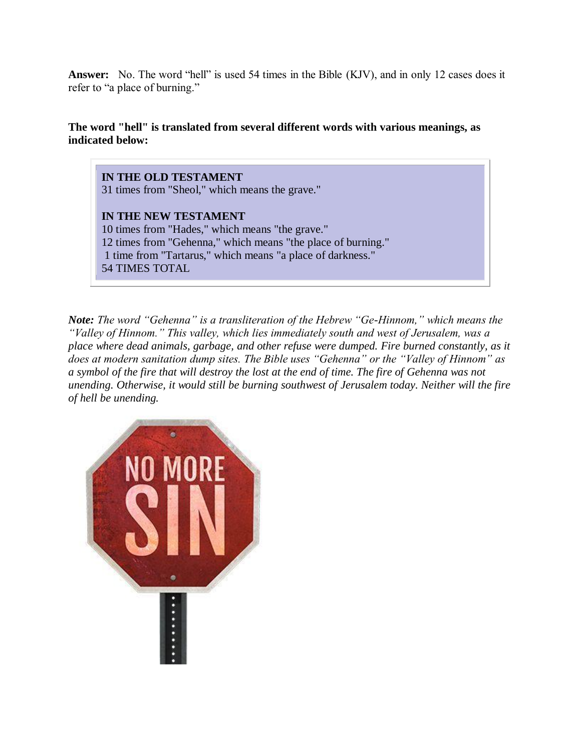**Answer:** No. The word "hell" is used 54 times in the Bible (KJV), and in only 12 cases does it refer to "a place of burning."

**The word "hell" is translated from several different words with various meanings, as indicated below:**

**IN THE OLD TESTAMENT** 31 times from "Sheol," which means the grave."

**IN THE NEW TESTAMENT** 10 times from "Hades," which means "the grave." 12 times from "Gehenna," which means "the place of burning." 1 time from "Tartarus," which means "a place of darkness." 54 TIMES TOTAL

*Note: The word "Gehenna" is a transliteration of the Hebrew "Ge-Hinnom," which means the "Valley of Hinnom." This valley, which lies immediately south and west of Jerusalem, was a place where dead animals, garbage, and other refuse were dumped. Fire burned constantly, as it does at modern sanitation dump sites. The Bible uses "Gehenna" or the "Valley of Hinnom" as a symbol of the fire that will destroy the lost at the end of time. The fire of Gehenna was not unending. Otherwise, it would still be burning southwest of Jerusalem today. Neither will the fire of hell be unending.*

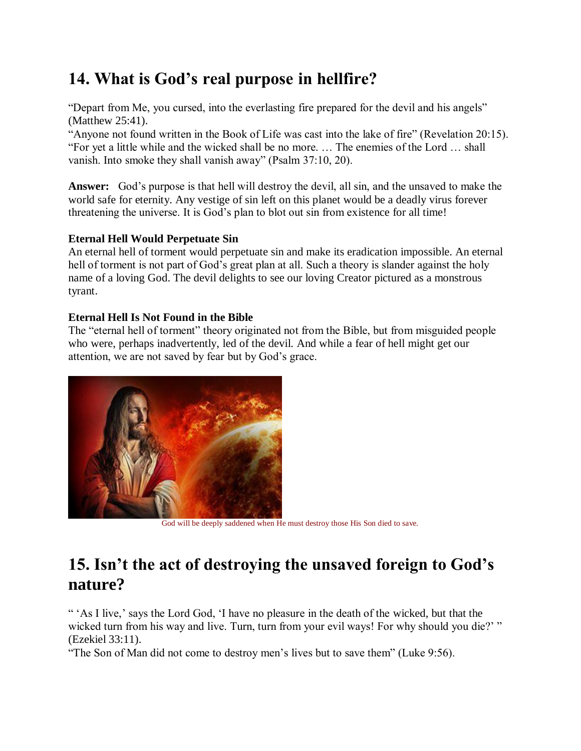# **14. What is God's real purpose in hellfire?**

"Depart from Me, you cursed, into the everlasting fire prepared for the devil and his angels" (Matthew 25:41).

"Anyone not found written in the Book of Life was cast into the lake of fire" (Revelation 20:15). "For yet a little while and the wicked shall be no more. … The enemies of the Lord … shall vanish. Into smoke they shall vanish away" (Psalm 37:10, 20).

**Answer:** God's purpose is that hell will destroy the devil, all sin, and the unsaved to make the world safe for eternity. Any vestige of sin left on this planet would be a deadly virus forever threatening the universe. It is God's plan to blot out sin from existence for all time!

### **Eternal Hell Would Perpetuate Sin**

An eternal hell of torment would perpetuate sin and make its eradication impossible. An eternal hell of torment is not part of God's great plan at all. Such a theory is slander against the holy name of a loving God. The devil delights to see our loving Creator pictured as a monstrous tyrant.

### **Eternal Hell Is Not Found in the Bible**

The "eternal hell of torment" theory originated not from the Bible, but from misguided people who were, perhaps inadvertently, led of the devil. And while a fear of hell might get our attention, we are not saved by fear but by God's grace.



God will be deeply saddened when He must destroy those His Son died to save.

# **15. Isn't the act of destroying the unsaved foreign to God's nature?**

" 'As I live,' says the Lord God, 'I have no pleasure in the death of the wicked, but that the wicked turn from his way and live. Turn, turn from your evil ways! For why should you die?' " (Ezekiel 33:11).

"The Son of Man did not come to destroy men's lives but to save them" (Luke 9:56).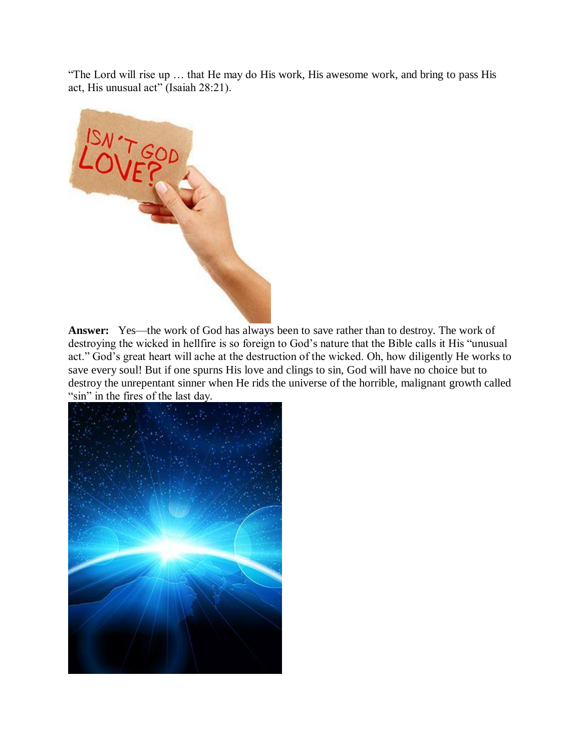"The Lord will rise up … that He may do His work, His awesome work, and bring to pass His act, His unusual act" (Isaiah 28:21).



**Answer:** Yes—the work of God has always been to save rather than to destroy. The work of destroying the wicked in hellfire is so foreign to God's nature that the Bible calls it His "unusual act." God's great heart will ache at the destruction of the wicked. Oh, how diligently He works to save every soul! But if one spurns His love and clings to sin, God will have no choice but to destroy the unrepentant sinner when He rids the universe of the horrible, malignant growth called "sin" in the fires of the last day.

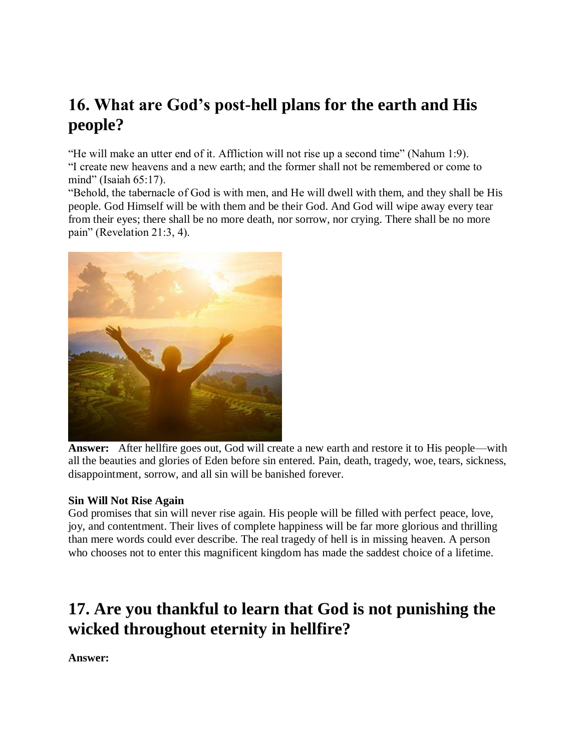# **16. What are God's post-hell plans for the earth and His people?**

"He will make an utter end of it. Affliction will not rise up a second time" (Nahum 1:9). "I create new heavens and a new earth; and the former shall not be remembered or come to mind" (Isaiah 65:17).

"Behold, the tabernacle of God is with men, and He will dwell with them, and they shall be His people. God Himself will be with them and be their God. And God will wipe away every tear from their eyes; there shall be no more death, nor sorrow, nor crying. There shall be no more pain" (Revelation 21:3, 4).



**Answer:** After hellfire goes out, God will create a new earth and restore it to His people—with all the beauties and glories of Eden before sin entered. Pain, death, tragedy, woe, tears, sickness, disappointment, sorrow, and all sin will be banished forever.

### **Sin Will Not Rise Again**

God promises that sin will never rise again. His people will be filled with perfect peace, love, joy, and contentment. Their lives of complete happiness will be far more glorious and thrilling than mere words could ever describe. The real tragedy of hell is in missing heaven. A person who chooses not to enter this magnificent kingdom has made the saddest choice of a lifetime.

# **17. Are you thankful to learn that God is not punishing the wicked throughout eternity in hellfire?**

**Answer:**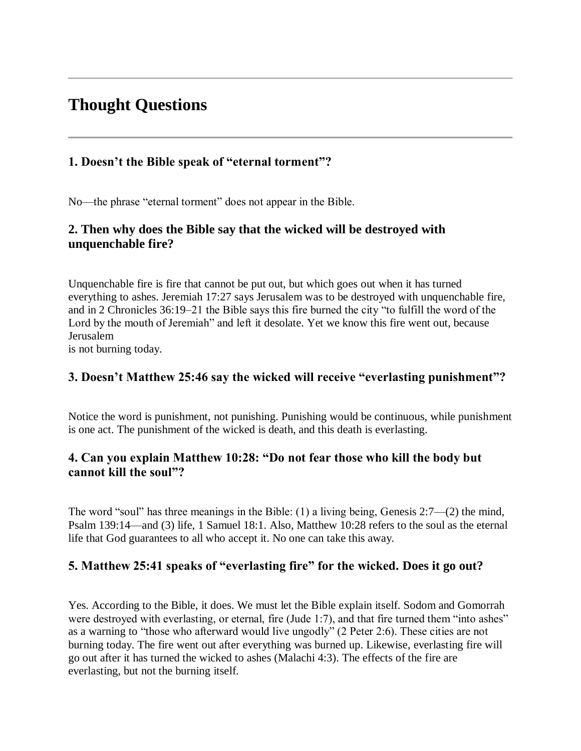## **Thought Questions**

### **1. Doesn't the Bible speak of "eternal torment"?**

No—the phrase "eternal torment" does not appear in the Bible.

### **2. Then why does the Bible say that the wicked will be destroyed with unquenchable fire?**

Unquenchable fire is fire that cannot be put out, but which goes out when it has turned everything to ashes. Jeremiah 17:27 says Jerusalem was to be destroyed with unquenchable fire, and in 2 Chronicles 36:19–21 the Bible says this fire burned the city "to fulfill the word of the Lord by the mouth of Jeremiah" and left it desolate. Yet we know this fire went out, because Jerusalem

is not burning today.

### **3. Doesn't Matthew 25:46 say the wicked will receive "everlasting punishment"?**

Notice the word is punishment, not punishing. Punishing would be continuous, while punishment is one act. The punishment of the wicked is death, and this death is everlasting.

### **4. Can you explain Matthew 10:28: "Do not fear those who kill the body but cannot kill the soul"?**

The word "soul" has three meanings in the Bible: (1) a living being, Genesis 2:7—(2) the mind, Psalm 139:14—and (3) life, 1 Samuel 18:1. Also, Matthew 10:28 refers to the soul as the eternal life that God guarantees to all who accept it. No one can take this away.

### **5. Matthew 25:41 speaks of "everlasting fire" for the wicked. Does it go out?**

Yes. According to the Bible, it does. We must let the Bible explain itself. Sodom and Gomorrah were destroyed with everlasting, or eternal, fire (Jude 1:7), and that fire turned them "into ashes" as a warning to "those who afterward would live ungodly" (2 Peter 2:6). These cities are not burning today. The fire went out after everything was burned up. Likewise, everlasting fire will go out after it has turned the wicked to ashes (Malachi 4:3). The effects of the fire are everlasting, but not the burning itself.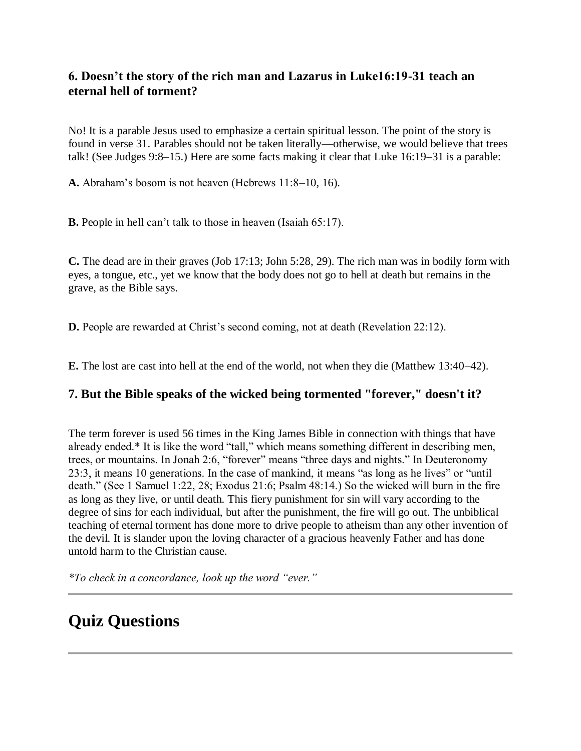### **6. Doesn't the story of the rich man and Lazarus in Luke16:19-31 teach an eternal hell of torment?**

No! It is a parable Jesus used to emphasize a certain spiritual lesson. The point of the story is found in verse 31. Parables should not be taken literally—otherwise, we would believe that trees talk! (See Judges 9:8–15.) Here are some facts making it clear that Luke 16:19–31 is a parable:

**A.** Abraham's bosom is not heaven (Hebrews 11:8–10, 16).

**B.** People in hell can't talk to those in heaven (Isaiah 65:17).

**C.** The dead are in their graves (Job 17:13; John 5:28, 29). The rich man was in bodily form with eyes, a tongue, etc., yet we know that the body does not go to hell at death but remains in the grave, as the Bible says.

**D.** People are rewarded at Christ's second coming, not at death (Revelation 22:12).

**E.** The lost are cast into hell at the end of the world, not when they die (Matthew 13:40–42).

### **7. But the Bible speaks of the wicked being tormented "forever," doesn't it?**

The term forever is used 56 times in the King James Bible in connection with things that have already ended.\* It is like the word "tall," which means something different in describing men, trees, or mountains. In Jonah 2:6, "forever" means "three days and nights." In Deuteronomy 23:3, it means 10 generations. In the case of mankind, it means "as long as he lives" or "until death." (See 1 Samuel 1:22, 28; Exodus 21:6; Psalm 48:14.) So the wicked will burn in the fire as long as they live, or until death. This fiery punishment for sin will vary according to the degree of sins for each individual, but after the punishment, the fire will go out. The unbiblical teaching of eternal torment has done more to drive people to atheism than any other invention of the devil. It is slander upon the loving character of a gracious heavenly Father and has done untold harm to the Christian cause.

*\*To check in a concordance, look up the word "ever."*

# **Quiz Questions**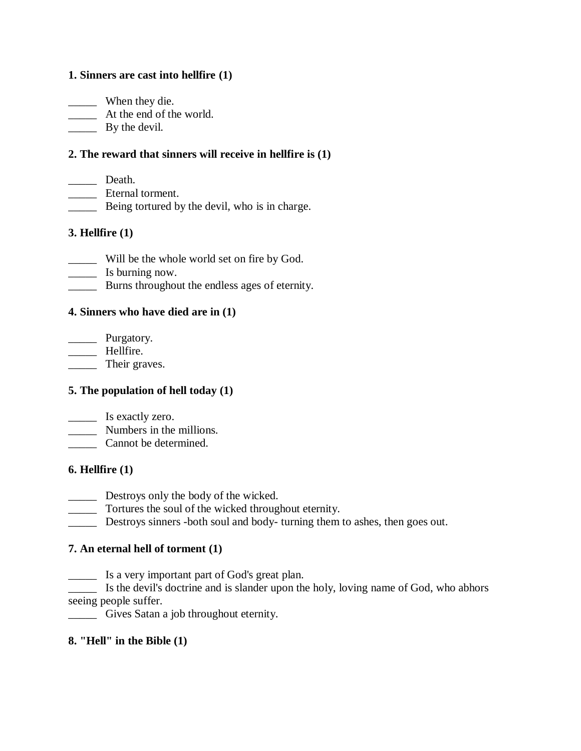### **1. Sinners are cast into hellfire (1)**

\_\_\_\_\_ When they die. \_\_\_\_\_ At the end of the world. \_\_\_\_\_ By the devil.

### **2. The reward that sinners will receive in hellfire is (1)**

- \_\_\_\_\_ Death.
- \_\_\_\_\_ Eternal torment.
- \_\_\_\_\_ Being tortured by the devil, who is in charge.

### **3. Hellfire (1)**

- \_\_\_\_\_ Will be the whole world set on fire by God.
- \_\_\_\_\_ Is burning now.
- **EXECUTE:** Burns throughout the endless ages of eternity.

### **4. Sinners who have died are in (1)**

\_\_\_\_\_ Purgatory. \_\_\_\_\_ Hellfire. \_\_\_\_\_ Their graves.

### **5. The population of hell today (1)**

- \_\_\_\_\_ Is exactly zero.
- \_\_\_\_\_ Numbers in the millions.
- \_\_\_\_\_ Cannot be determined.

### **6. Hellfire (1)**

- Destroys only the body of the wicked.
- \_\_\_\_\_ Tortures the soul of the wicked throughout eternity.
- \_\_\_\_\_ Destroys sinners -both soul and body- turning them to ashes, then goes out.

### **7. An eternal hell of torment (1)**

\_\_\_\_\_ Is a very important part of God's great plan.

\_\_\_\_\_ Is the devil's doctrine and is slander upon the holy, loving name of God, who abhors seeing people suffer.

\_\_\_\_\_ Gives Satan a job throughout eternity.

#### **8. "Hell" in the Bible (1)**